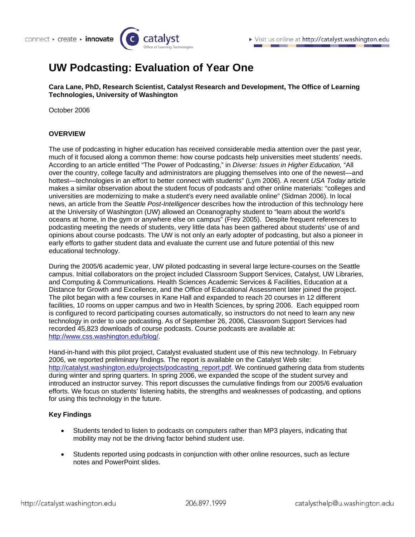# **UW Podcasting: Evaluation of Year One**

**Cara Lane, PhD, Research Scientist, Catalyst Research and Development, The Office of Learning Technologies, University of Washington** 

October 2006

#### **OVERVIEW**

The use of podcasting in higher education has received considerable media attention over the past year, much of it focused along a common theme: how course podcasts help universities meet students' needs. According to an article entitled "The Power of Podcasting," in *Diverse: Issues in Higher Education,* "All over the country, college faculty and administrators are plugging themselves into one of the newest—and hottest—technologies in an effort to better connect with students" (Lym 2006). A recent *USA Today* article makes a similar observation about the student focus of podcasts and other online materials: "colleges and universities are modernizing to make a student's every need available online" (Sidman 2006). In local news, an article from the *Seattle Post-Intelligencer* describes how the introduction of this technology here at the University of Washington (UW) allowed an Oceanography student to "learn about the world's oceans at home, in the gym or anywhere else on campus" (Frey 2005). Despite frequent references to podcasting meeting the needs of students, very little data has been gathered about students' use of and opinions about course podcasts. The UW is not only an early adopter of podcasting, but also a pioneer in early efforts to gather student data and evaluate the current use and future potential of this new educational technology.

During the 2005/6 academic year, UW piloted podcasting in several large lecture-courses on the Seattle campus. Initial collaborators on the project included Classroom Support Services, Catalyst, UW Libraries, and Computing & Communications. Health Sciences Academic Services & Facilities, Education at a Distance for Growth and Excellence, and the Office of Educational Assessment later joined the project. The pilot began with a few courses in Kane Hall and expanded to reach 20 courses in 12 different facilities, 10 rooms on upper campus and two in Health Sciences, by spring 2006. Each equipped room is configured to record participating courses automatically, so instructors do not need to learn any new technology in order to use podcasting. As of September 26, 2006, Classroom Support Services had recorded 45,823 downloads of course podcasts. Course podcasts are available at: [http://www.css.washington.edu/blog/.](http://www.css.washington.edu/blog/)

Hand-in-hand with this pilot project, Catalyst evaluated student use of this new technology. In February 2006, we reported preliminary findings. The report is available on the Catalyst Web site: [http://catalyst.washington.edu/projects/podcasting\\_report.pdf](http://catalyst.washington.edu/projects/podcasting_report.pdf). We continued gathering data from students during winter and spring quarters. In spring 2006, we expanded the scope of the student survey and introduced an instructor survey. This report discusses the cumulative findings from our 2005/6 evaluation efforts. We focus on students' listening habits, the strengths and weaknesses of podcasting, and options for using this technology in the future.

#### **Key Findings**

- Students tended to listen to podcasts on computers rather than MP3 players, indicating that mobility may not be the driving factor behind student use.
- Students reported using podcasts in conjunction with other online resources, such as lecture notes and PowerPoint slides.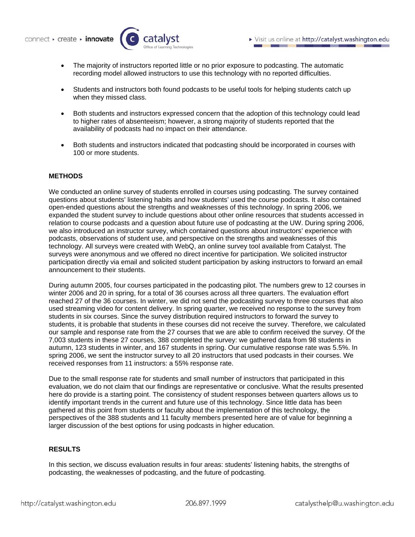

- The majority of instructors reported little or no prior exposure to podcasting. The automatic recording model allowed instructors to use this technology with no reported difficulties.
- Students and instructors both found podcasts to be useful tools for helping students catch up when they missed class.
- Both students and instructors expressed concern that the adoption of this technology could lead to higher rates of absenteeism; however, a strong majority of students reported that the availability of podcasts had no impact on their attendance.
- Both students and instructors indicated that podcasting should be incorporated in courses with 100 or more students.

#### **METHODS**

We conducted an online survey of students enrolled in courses using podcasting. The survey contained questions about students' listening habits and how students' used the course podcasts. It also contained open-ended questions about the strengths and weaknesses of this technology. In spring 2006, we expanded the student survey to include questions about other online resources that students accessed in relation to course podcasts and a question about future use of podcasting at the UW. During spring 2006, we also introduced an instructor survey, which contained questions about instructors' experience with podcasts, observations of student use, and perspective on the strengths and weaknesses of this technology. All surveys were created with WebQ, an online survey tool available from Catalyst. The surveys were anonymous and we offered no direct incentive for participation. We solicited instructor participation directly via email and solicited student participation by asking instructors to forward an email announcement to their students.

During autumn 2005, four courses participated in the podcasting pilot. The numbers grew to 12 courses in winter 2006 and 20 in spring, for a total of 36 courses across all three quarters. The evaluation effort reached 27 of the 36 courses. In winter, we did not send the podcasting survey to three courses that also used streaming video for content delivery. In spring quarter, we received no response to the survey from students in six courses. Since the survey distribution required instructors to forward the survey to students, it is probable that students in these courses did not receive the survey. Therefore, we calculated our sample and response rate from the 27 courses that we are able to confirm received the survey. Of the 7,003 students in these 27 courses, 388 completed the survey: we gathered data from 98 students in autumn, 123 students in winter, and 167 students in spring. Our cumulative response rate was 5.5%. In spring 2006, we sent the instructor survey to all 20 instructors that used podcasts in their courses. We received responses from 11 instructors: a 55% response rate.

Due to the small response rate for students and small number of instructors that participated in this evaluation, we do not claim that our findings are representative or conclusive. What the results presented here do provide is a starting point. The consistency of student responses between quarters allows us to identify important trends in the current and future use of this technology. Since little data has been gathered at this point from students or faculty about the implementation of this technology, the perspectives of the 388 students and 11 faculty members presented here are of value for beginning a larger discussion of the best options for using podcasts in higher education.

# **RESULTS**

In this section, we discuss evaluation results in four areas: students' listening habits, the strengths of podcasting, the weaknesses of podcasting, and the future of podcasting.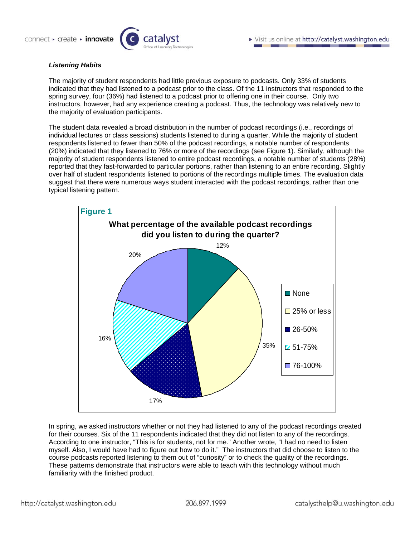

#### *Listening Habits*

The majority of student respondents had little previous exposure to podcasts. Only 33% of students indicated that they had listened to a podcast prior to the class. Of the 11 instructors that responded to the spring survey, four (36%) had listened to a podcast prior to offering one in their course. Only two instructors, however, had any experience creating a podcast. Thus, the technology was relatively new to the majority of evaluation participants.

The student data revealed a broad distribution in the number of podcast recordings (i.e., recordings of individual lectures or class sessions) students listened to during a quarter. While the majority of student respondents listened to fewer than 50% of the podcast recordings, a notable number of respondents (20%) indicated that they listened to 76% or more of the recordings (see Figure 1). Similarly, although the majority of student respondents listened to entire podcast recordings, a notable number of students (28%) reported that they fast-forwarded to particular portions, rather than listening to an entire recording. Slightly over half of student respondents listened to portions of the recordings multiple times. The evaluation data suggest that there were numerous ways student interacted with the podcast recordings, rather than one typical listening pattern.



In spring, we asked instructors whether or not they had listened to any of the podcast recordings created for their courses. Six of the 11 respondents indicated that they did not listen to any of the recordings. According to one instructor, "This is for students, not for me." Another wrote, "I had no need to listen myself. Also, I would have had to figure out how to do it." The instructors that did choose to listen to the course podcasts reported listening to them out of "curiosity" or to check the quality of the recordings. These patterns demonstrate that instructors were able to teach with this technology without much familiarity with the finished product.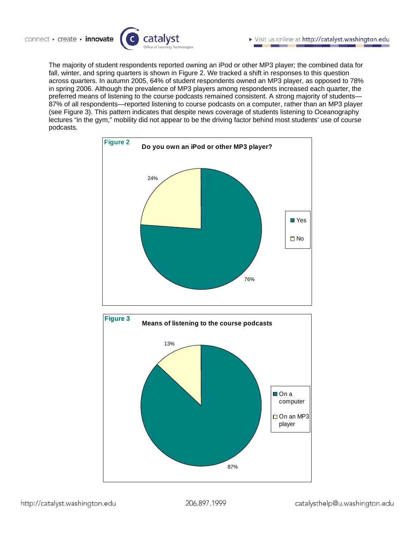The majority of student respondents reported owning an iPod or other MP3 player; the combined data for fall, winter, and spring quarters is shown in Figure 2. We tracked a shift in responses to this question across quarters. In autumn 2005, 64% of student respondents owned an MP3 player, as opposed to 78% in spring 2006. Although the prevalence of MP3 players among respondents increased each quarter, the preferred means of listening to the course podcasts remained consistent. A strong majority of students— 87% of all respondents—reported listening to course podcasts on a computer, rather than an MP3 player (see Figure 3). This pattern indicates that despite news coverage of students listening to Oceanography lectures "in the gym," mobility did not appear to be the driving factor behind most students' use of course podcasts.



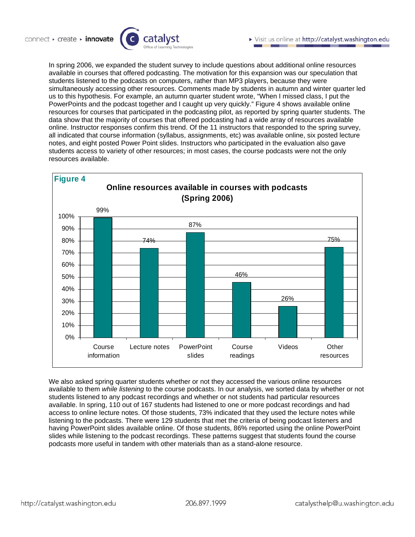In spring 2006, we expanded the student survey to include questions about additional online resources available in courses that offered podcasting. The motivation for this expansion was our speculation that students listened to the podcasts on computers, rather than MP3 players, because they were simultaneously accessing other resources. Comments made by students in autumn and winter quarter led us to this hypothesis. For example, an autumn quarter student wrote, "When I missed class, I put the PowerPoints and the podcast together and I caught up very quickly." Figure 4 shows available online resources for courses that participated in the podcasting pilot, as reported by spring quarter students. The data show that the majority of courses that offered podcasting had a wide array of resources available online. Instructor responses confirm this trend. Of the 11 instructors that responded to the spring survey, all indicated that course information (syllabus, assignments, etc) was available online, six posted lecture notes, and eight posted Power Point slides. Instructors who participated in the evaluation also gave students access to variety of other resources; in most cases, the course podcasts were not the only resources available.



We also asked spring quarter students whether or not they accessed the various online resources available to them *while listening* to the course podcasts. In our analysis, we sorted data by whether or not students listened to any podcast recordings and whether or not students had particular resources available. In spring, 110 out of 167 students had listened to one or more podcast recordings and had access to online lecture notes. Of those students, 73% indicated that they used the lecture notes while listening to the podcasts. There were 129 students that met the criteria of being podcast listeners and having PowerPoint slides available online. Of those students, 86% reported using the online PowerPoint slides while listening to the podcast recordings. These patterns suggest that students found the course podcasts more useful in tandem with other materials than as a stand-alone resource.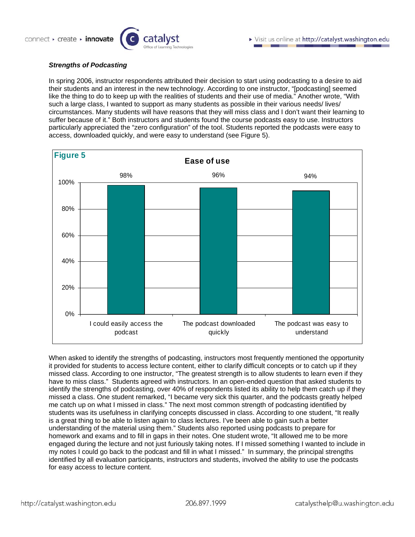#### *Strengths of Podcasting*

In spring 2006, instructor respondents attributed their decision to start using podcasting to a desire to aid their students and an interest in the new technology. According to one instructor, "[podcasting] seemed like the thing to do to keep up with the realities of students and their use of media." Another wrote, "With such a large class, I wanted to support as many students as possible in their various needs/ lives/ circumstances. Many students will have reasons that they will miss class and I don't want their learning to suffer because of it." Both instructors and students found the course podcasts easy to use. Instructors particularly appreciated the "zero configuration" of the tool. Students reported the podcasts were easy to access, downloaded quickly, and were easy to understand (see Figure 5).



When asked to identify the strengths of podcasting, instructors most frequently mentioned the opportunity it provided for students to access lecture content, either to clarify difficult concepts or to catch up if they missed class. According to one instructor, "The greatest strength is to allow students to learn even if they have to miss class." Students agreed with instructors. In an open-ended question that asked students to identify the strengths of podcasting, over 40% of respondents listed its ability to help them catch up if they missed a class. One student remarked, "I became very sick this quarter, and the podcasts greatly helped me catch up on what I missed in class." The next most common strength of podcasting identified by students was its usefulness in clarifying concepts discussed in class. According to one student, "It really is a great thing to be able to listen again to class lectures. I've been able to gain such a better understanding of the material using them." Students also reported using podcasts to prepare for homework and exams and to fill in gaps in their notes. One student wrote, "It allowed me to be more engaged during the lecture and not just furiously taking notes. If I missed something I wanted to include in my notes I could go back to the podcast and fill in what I missed." In summary, the principal strengths identified by all evaluation participants, instructors and students, involved the ability to use the podcasts for easy access to lecture content.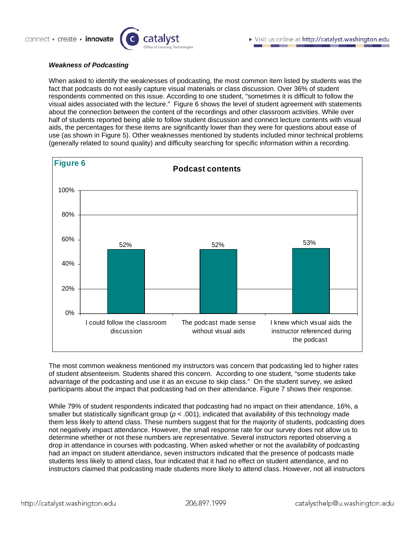

#### *Weakness of Podcasting*

When asked to identify the weaknesses of podcasting, the most common item listed by students was the fact that podcasts do not easily capture visual materials or class discussion. Over 36% of student respondents commented on this issue. According to one student, "sometimes it is difficult to follow the visual aides associated with the lecture." Figure 6 shows the level of student agreement with statements about the connection between the content of the recordings and other classroom activities. While over half of students reported being able to follow student discussion and connect lecture contents with visual aids, the percentages for these items are significantly lower than they were for questions about ease of use (as shown in Figure 5). Other weaknesses mentioned by students included minor technical problems (generally related to sound quality) and difficulty searching for specific information within a recording.



The most common weakness mentioned my instructors was concern that podcasting led to higher rates of student absenteeism. Students shared this concern. According to one student, "some students take advantage of the podcasting and use it as an excuse to skip class." On the student survey, we asked participants about the impact that podcasting had on their attendance. Figure 7 shows their response.

While 79% of student respondents indicated that podcasting had no impact on their attendance, 16%, a smaller but statistically significant group ( $p < .001$ ), indicated that availability of this technology made them less likely to attend class. These numbers suggest that for the majority of students, podcasting does not negatively impact attendance. However, the small response rate for our survey does not allow us to determine whether or not these numbers are representative. Several instructors reported observing a drop in attendance in courses with podcasting. When asked whether or not the availability of podcasting had an impact on student attendance, seven instructors indicated that the presence of podcasts made students less likely to attend class, four indicated that it had no effect on student attendance, and no instructors claimed that podcasting made students more likely to attend class. However, not all instructors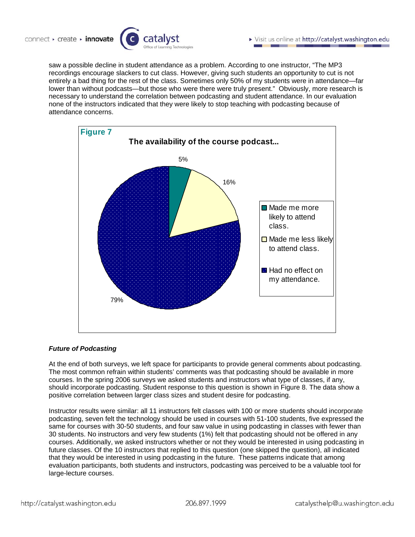

saw a possible decline in student attendance as a problem. According to one instructor, "The MP3 recordings encourage slackers to cut class. However, giving such students an opportunity to cut is not entirely a bad thing for the rest of the class. Sometimes only 50% of my students were in attendance—far lower than without podcasts—but those who were there were truly present." Obviously, more research is necessary to understand the correlation between podcasting and student attendance. In our evaluation none of the instructors indicated that they were likely to stop teaching with podcasting because of attendance concerns.



# *Future of Podcasting*

At the end of both surveys, we left space for participants to provide general comments about podcasting. The most common refrain within students' comments was that podcasting should be available in more courses. In the spring 2006 surveys we asked students and instructors what type of classes, if any, should incorporate podcasting. Student response to this question is shown in Figure 8. The data show a positive correlation between larger class sizes and student desire for podcasting.

Instructor results were similar: all 11 instructors felt classes with 100 or more students should incorporate podcasting, seven felt the technology should be used in courses with 51-100 students, five expressed the same for courses with 30-50 students, and four saw value in using podcasting in classes with fewer than 30 students. No instructors and very few students (1%) felt that podcasting should not be offered in any courses. Additionally, we asked instructors whether or not they would be interested in using podcasting in future classes. Of the 10 instructors that replied to this question (one skipped the question), all indicated that they would be interested in using podcasting in the future. These patterns indicate that among evaluation participants, both students and instructors, podcasting was perceived to be a valuable tool for large-lecture courses.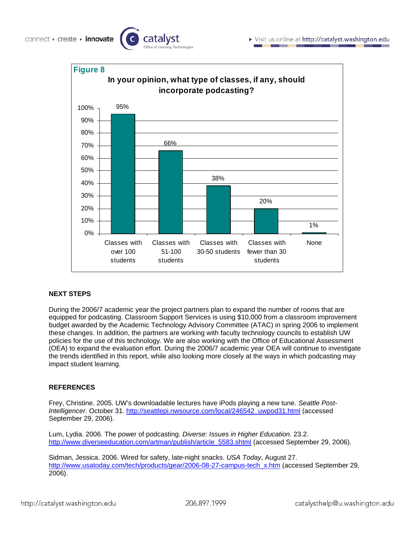



# **NEXT STEPS**

connect · create · innovate

During the 2006/7 academic year the project partners plan to expand the number of rooms that are equipped for podcasting. Classroom Support Services is using \$10,000 from a classroom improvement budget awarded by the Academic Technology Advisory Committee (ATAC) in spring 2006 to implement these changes. In addition, the partners are working with faculty technology councils to establish UW policies for the use of this technology. We are also working with the Office of Educational Assessment (OEA) to expand the evaluation effort. During the 2006/7 academic year OEA will continue to investigate the trends identified in this report, while also looking more closely at the ways in which podcasting may impact student learning.

#### **REFERENCES**

Frey, Christine. 2005. UW's downloadable lectures have iPods playing a new tune. *Seattle Post-Intelligencer*. October 31. [http://seattlepi.nwsource.com/local/246542\\_uwpod31.html](http://seattlepi.nwsource.com/local/246542_uwpod31.html) (accessed September 29, 2006).

Lum, Lydia. 2006. The power of podcasting. *Diverse: Issues in Higher Education.* 23.2. [http://www.diverseeducation.com/artman/publish/article\\_5583.shtml](http://www.diverseeducation.com/artman/publish/article_5583.shtml) (accessed September 29, 2006).

Sidman, Jessica. 2006. Wired for safety, late-night snacks. *USA Today*, August 27. [http://www.usatoday.com/tech/products/gear/2006-08-27-campus-tech\\_x.htm](http://www.usatoday.com/tech/products/gear/2006-08-27-campus-tech_x.htm) (accessed September 29, 2006).